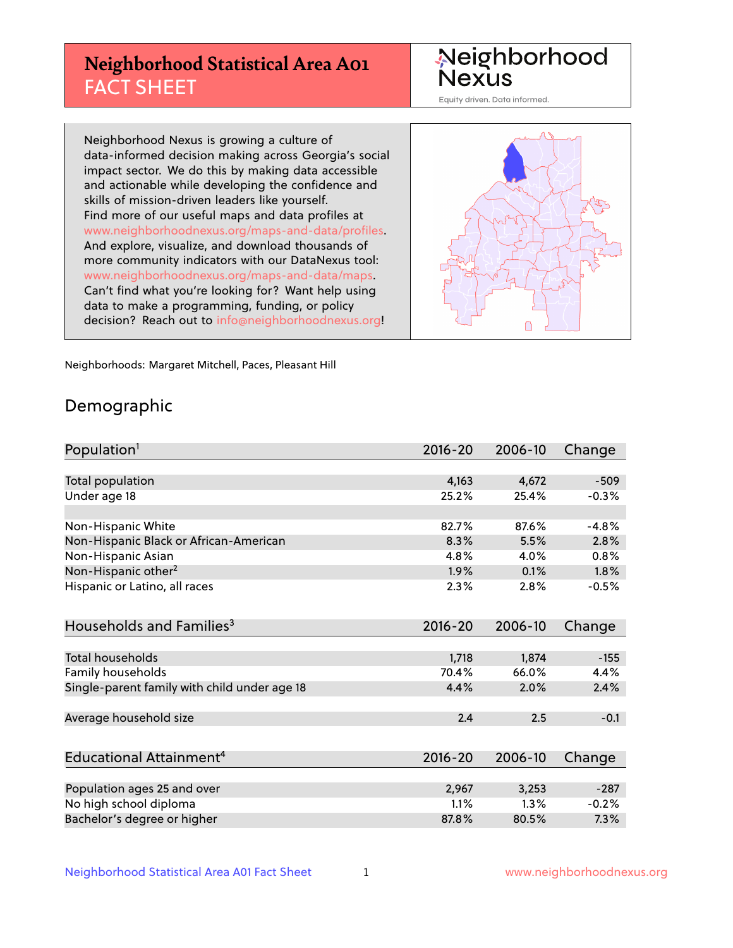## **Neighborhood Statistical Area A01** FACT SHEET

Neighborhood Nexus

Equity driven. Data informed.

Neighborhood Nexus is growing a culture of data-informed decision making across Georgia's social impact sector. We do this by making data accessible and actionable while developing the confidence and skills of mission-driven leaders like yourself. Find more of our useful maps and data profiles at www.neighborhoodnexus.org/maps-and-data/profiles. And explore, visualize, and download thousands of more community indicators with our DataNexus tool: www.neighborhoodnexus.org/maps-and-data/maps. Can't find what you're looking for? Want help using data to make a programming, funding, or policy decision? Reach out to [info@neighborhoodnexus.org!](mailto:info@neighborhoodnexus.org)



Neighborhoods: Margaret Mitchell, Paces, Pleasant Hill

### Demographic

| Population <sup>1</sup>                      | $2016 - 20$ | 2006-10 | Change  |
|----------------------------------------------|-------------|---------|---------|
|                                              |             |         |         |
| <b>Total population</b>                      | 4,163       | 4,672   | $-509$  |
| Under age 18                                 | 25.2%       | 25.4%   | $-0.3%$ |
|                                              |             |         |         |
| Non-Hispanic White                           | 82.7%       | 87.6%   | $-4.8%$ |
| Non-Hispanic Black or African-American       | 8.3%        | 5.5%    | 2.8%    |
| Non-Hispanic Asian                           | 4.8%        | 4.0%    | 0.8%    |
| Non-Hispanic other <sup>2</sup>              | 1.9%        | 0.1%    | 1.8%    |
| Hispanic or Latino, all races                | 2.3%        | 2.8%    | $-0.5%$ |
|                                              |             |         |         |
| Households and Families <sup>3</sup>         | $2016 - 20$ | 2006-10 | Change  |
|                                              |             |         |         |
| Total households                             | 1,718       | 1,874   | $-155$  |
| Family households                            | 70.4%       | 66.0%   | 4.4%    |
| Single-parent family with child under age 18 | 4.4%        | 2.0%    | 2.4%    |
|                                              |             |         |         |
| Average household size                       | 2.4         | 2.5     | $-0.1$  |
|                                              |             |         |         |
| Educational Attainment <sup>4</sup>          | 2016-20     | 2006-10 | Change  |
|                                              |             |         |         |
| Population ages 25 and over                  | 2,967       | 3,253   | $-287$  |
| No high school diploma                       | 1.1%        | 1.3%    | $-0.2%$ |
| Bachelor's degree or higher                  | 87.8%       | 80.5%   | 7.3%    |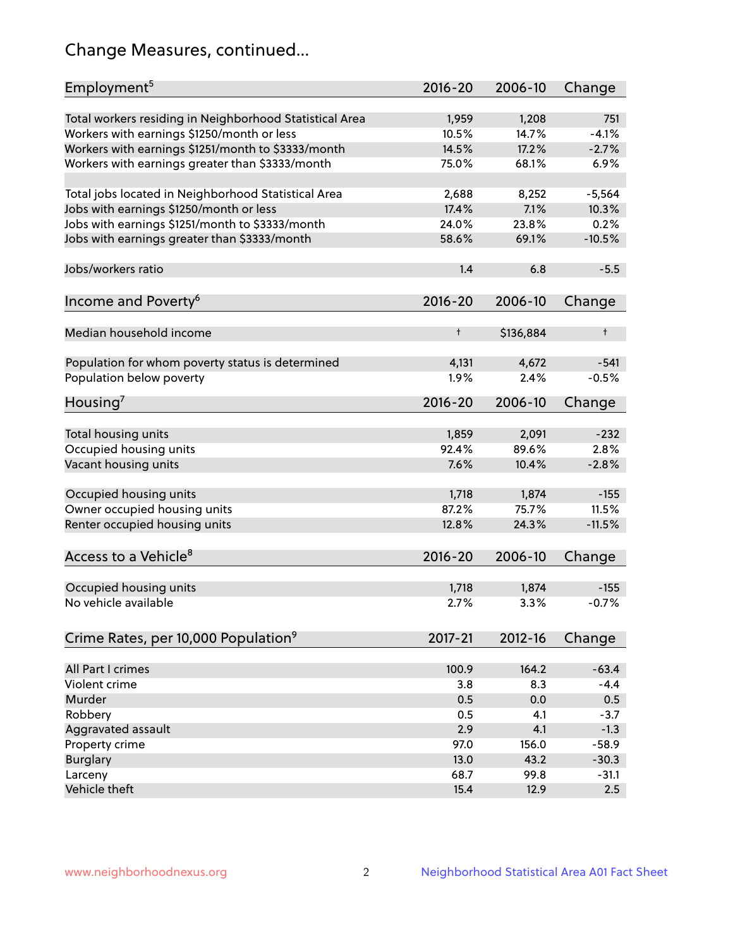## Change Measures, continued...

| Total workers residing in Neighborhood Statistical Area<br>1,959<br>1,208<br>751<br>$-4.1%$<br>Workers with earnings \$1250/month or less<br>10.5%<br>14.7%<br>Workers with earnings \$1251/month to \$3333/month<br>14.5%<br>17.2%<br>$-2.7%$<br>Workers with earnings greater than \$3333/month<br>75.0%<br>68.1%<br>6.9%<br>Total jobs located in Neighborhood Statistical Area<br>8,252<br>$-5,564$<br>2,688<br>Jobs with earnings \$1250/month or less<br>7.1%<br>17.4%<br>10.3%<br>Jobs with earnings \$1251/month to \$3333/month<br>0.2%<br>24.0%<br>23.8%<br>Jobs with earnings greater than \$3333/month<br>58.6%<br>69.1%<br>$-10.5%$<br>Jobs/workers ratio<br>1.4<br>6.8<br>$-5.5$<br>Income and Poverty <sup>6</sup><br>$2016 - 20$<br>Change<br>2006-10<br>Median household income<br>$\ddagger$<br>\$136,884<br>t<br>Population for whom poverty status is determined<br>4,672<br>4,131<br>$-541$<br>Population below poverty<br>1.9%<br>2.4%<br>$-0.5%$<br>$2016 - 20$<br>2006-10<br>Change<br>Housing'<br>Total housing units<br>1,859<br>2,091<br>$-232$<br>Occupied housing units<br>92.4%<br>2.8%<br>89.6%<br>Vacant housing units<br>7.6%<br>$-2.8%$<br>10.4%<br>Occupied housing units<br>1,718<br>1,874<br>$-155$<br>Owner occupied housing units<br>87.2%<br>75.7%<br>11.5%<br>Renter occupied housing units<br>12.8%<br>24.3%<br>$-11.5%$<br>Access to a Vehicle <sup>8</sup><br>$2016 - 20$<br>2006-10<br>Change<br>Occupied housing units<br>1,874<br>$-155$<br>1,718<br>No vehicle available<br>2.7%<br>3.3%<br>$-0.7%$<br>Crime Rates, per 10,000 Population <sup>9</sup><br>2017-21<br>2012-16<br>Change<br>164.2<br>All Part I crimes<br>100.9<br>$-63.4$<br>Violent crime<br>3.8<br>8.3<br>$-4.4$<br>Murder<br>0.5<br>0.0<br>0.5<br>Robbery<br>0.5<br>4.1<br>$-3.7$<br>2.9<br>Aggravated assault<br>4.1<br>$-1.3$<br>Property crime<br>97.0<br>156.0<br>$-58.9$<br>13.0<br>43.2<br>$-30.3$<br><b>Burglary</b><br>Larceny<br>68.7<br>99.8<br>$-31.1$<br>Vehicle theft<br>15.4<br>12.9<br>2.5 | Employment <sup>5</sup> | $2016 - 20$ | 2006-10 | Change |
|-----------------------------------------------------------------------------------------------------------------------------------------------------------------------------------------------------------------------------------------------------------------------------------------------------------------------------------------------------------------------------------------------------------------------------------------------------------------------------------------------------------------------------------------------------------------------------------------------------------------------------------------------------------------------------------------------------------------------------------------------------------------------------------------------------------------------------------------------------------------------------------------------------------------------------------------------------------------------------------------------------------------------------------------------------------------------------------------------------------------------------------------------------------------------------------------------------------------------------------------------------------------------------------------------------------------------------------------------------------------------------------------------------------------------------------------------------------------------------------------------------------------------------------------------------------------------------------------------------------------------------------------------------------------------------------------------------------------------------------------------------------------------------------------------------------------------------------------------------------------------------------------------------------------------------------------------------------------------------------------------------------------------------|-------------------------|-------------|---------|--------|
|                                                                                                                                                                                                                                                                                                                                                                                                                                                                                                                                                                                                                                                                                                                                                                                                                                                                                                                                                                                                                                                                                                                                                                                                                                                                                                                                                                                                                                                                                                                                                                                                                                                                                                                                                                                                                                                                                                                                                                                                                             |                         |             |         |        |
|                                                                                                                                                                                                                                                                                                                                                                                                                                                                                                                                                                                                                                                                                                                                                                                                                                                                                                                                                                                                                                                                                                                                                                                                                                                                                                                                                                                                                                                                                                                                                                                                                                                                                                                                                                                                                                                                                                                                                                                                                             |                         |             |         |        |
|                                                                                                                                                                                                                                                                                                                                                                                                                                                                                                                                                                                                                                                                                                                                                                                                                                                                                                                                                                                                                                                                                                                                                                                                                                                                                                                                                                                                                                                                                                                                                                                                                                                                                                                                                                                                                                                                                                                                                                                                                             |                         |             |         |        |
|                                                                                                                                                                                                                                                                                                                                                                                                                                                                                                                                                                                                                                                                                                                                                                                                                                                                                                                                                                                                                                                                                                                                                                                                                                                                                                                                                                                                                                                                                                                                                                                                                                                                                                                                                                                                                                                                                                                                                                                                                             |                         |             |         |        |
|                                                                                                                                                                                                                                                                                                                                                                                                                                                                                                                                                                                                                                                                                                                                                                                                                                                                                                                                                                                                                                                                                                                                                                                                                                                                                                                                                                                                                                                                                                                                                                                                                                                                                                                                                                                                                                                                                                                                                                                                                             |                         |             |         |        |
|                                                                                                                                                                                                                                                                                                                                                                                                                                                                                                                                                                                                                                                                                                                                                                                                                                                                                                                                                                                                                                                                                                                                                                                                                                                                                                                                                                                                                                                                                                                                                                                                                                                                                                                                                                                                                                                                                                                                                                                                                             |                         |             |         |        |
|                                                                                                                                                                                                                                                                                                                                                                                                                                                                                                                                                                                                                                                                                                                                                                                                                                                                                                                                                                                                                                                                                                                                                                                                                                                                                                                                                                                                                                                                                                                                                                                                                                                                                                                                                                                                                                                                                                                                                                                                                             |                         |             |         |        |
|                                                                                                                                                                                                                                                                                                                                                                                                                                                                                                                                                                                                                                                                                                                                                                                                                                                                                                                                                                                                                                                                                                                                                                                                                                                                                                                                                                                                                                                                                                                                                                                                                                                                                                                                                                                                                                                                                                                                                                                                                             |                         |             |         |        |
|                                                                                                                                                                                                                                                                                                                                                                                                                                                                                                                                                                                                                                                                                                                                                                                                                                                                                                                                                                                                                                                                                                                                                                                                                                                                                                                                                                                                                                                                                                                                                                                                                                                                                                                                                                                                                                                                                                                                                                                                                             |                         |             |         |        |
|                                                                                                                                                                                                                                                                                                                                                                                                                                                                                                                                                                                                                                                                                                                                                                                                                                                                                                                                                                                                                                                                                                                                                                                                                                                                                                                                                                                                                                                                                                                                                                                                                                                                                                                                                                                                                                                                                                                                                                                                                             |                         |             |         |        |
|                                                                                                                                                                                                                                                                                                                                                                                                                                                                                                                                                                                                                                                                                                                                                                                                                                                                                                                                                                                                                                                                                                                                                                                                                                                                                                                                                                                                                                                                                                                                                                                                                                                                                                                                                                                                                                                                                                                                                                                                                             |                         |             |         |        |
|                                                                                                                                                                                                                                                                                                                                                                                                                                                                                                                                                                                                                                                                                                                                                                                                                                                                                                                                                                                                                                                                                                                                                                                                                                                                                                                                                                                                                                                                                                                                                                                                                                                                                                                                                                                                                                                                                                                                                                                                                             |                         |             |         |        |
|                                                                                                                                                                                                                                                                                                                                                                                                                                                                                                                                                                                                                                                                                                                                                                                                                                                                                                                                                                                                                                                                                                                                                                                                                                                                                                                                                                                                                                                                                                                                                                                                                                                                                                                                                                                                                                                                                                                                                                                                                             |                         |             |         |        |
|                                                                                                                                                                                                                                                                                                                                                                                                                                                                                                                                                                                                                                                                                                                                                                                                                                                                                                                                                                                                                                                                                                                                                                                                                                                                                                                                                                                                                                                                                                                                                                                                                                                                                                                                                                                                                                                                                                                                                                                                                             |                         |             |         |        |
|                                                                                                                                                                                                                                                                                                                                                                                                                                                                                                                                                                                                                                                                                                                                                                                                                                                                                                                                                                                                                                                                                                                                                                                                                                                                                                                                                                                                                                                                                                                                                                                                                                                                                                                                                                                                                                                                                                                                                                                                                             |                         |             |         |        |
|                                                                                                                                                                                                                                                                                                                                                                                                                                                                                                                                                                                                                                                                                                                                                                                                                                                                                                                                                                                                                                                                                                                                                                                                                                                                                                                                                                                                                                                                                                                                                                                                                                                                                                                                                                                                                                                                                                                                                                                                                             |                         |             |         |        |
|                                                                                                                                                                                                                                                                                                                                                                                                                                                                                                                                                                                                                                                                                                                                                                                                                                                                                                                                                                                                                                                                                                                                                                                                                                                                                                                                                                                                                                                                                                                                                                                                                                                                                                                                                                                                                                                                                                                                                                                                                             |                         |             |         |        |
|                                                                                                                                                                                                                                                                                                                                                                                                                                                                                                                                                                                                                                                                                                                                                                                                                                                                                                                                                                                                                                                                                                                                                                                                                                                                                                                                                                                                                                                                                                                                                                                                                                                                                                                                                                                                                                                                                                                                                                                                                             |                         |             |         |        |
|                                                                                                                                                                                                                                                                                                                                                                                                                                                                                                                                                                                                                                                                                                                                                                                                                                                                                                                                                                                                                                                                                                                                                                                                                                                                                                                                                                                                                                                                                                                                                                                                                                                                                                                                                                                                                                                                                                                                                                                                                             |                         |             |         |        |
|                                                                                                                                                                                                                                                                                                                                                                                                                                                                                                                                                                                                                                                                                                                                                                                                                                                                                                                                                                                                                                                                                                                                                                                                                                                                                                                                                                                                                                                                                                                                                                                                                                                                                                                                                                                                                                                                                                                                                                                                                             |                         |             |         |        |
|                                                                                                                                                                                                                                                                                                                                                                                                                                                                                                                                                                                                                                                                                                                                                                                                                                                                                                                                                                                                                                                                                                                                                                                                                                                                                                                                                                                                                                                                                                                                                                                                                                                                                                                                                                                                                                                                                                                                                                                                                             |                         |             |         |        |
|                                                                                                                                                                                                                                                                                                                                                                                                                                                                                                                                                                                                                                                                                                                                                                                                                                                                                                                                                                                                                                                                                                                                                                                                                                                                                                                                                                                                                                                                                                                                                                                                                                                                                                                                                                                                                                                                                                                                                                                                                             |                         |             |         |        |
|                                                                                                                                                                                                                                                                                                                                                                                                                                                                                                                                                                                                                                                                                                                                                                                                                                                                                                                                                                                                                                                                                                                                                                                                                                                                                                                                                                                                                                                                                                                                                                                                                                                                                                                                                                                                                                                                                                                                                                                                                             |                         |             |         |        |
|                                                                                                                                                                                                                                                                                                                                                                                                                                                                                                                                                                                                                                                                                                                                                                                                                                                                                                                                                                                                                                                                                                                                                                                                                                                                                                                                                                                                                                                                                                                                                                                                                                                                                                                                                                                                                                                                                                                                                                                                                             |                         |             |         |        |
|                                                                                                                                                                                                                                                                                                                                                                                                                                                                                                                                                                                                                                                                                                                                                                                                                                                                                                                                                                                                                                                                                                                                                                                                                                                                                                                                                                                                                                                                                                                                                                                                                                                                                                                                                                                                                                                                                                                                                                                                                             |                         |             |         |        |
|                                                                                                                                                                                                                                                                                                                                                                                                                                                                                                                                                                                                                                                                                                                                                                                                                                                                                                                                                                                                                                                                                                                                                                                                                                                                                                                                                                                                                                                                                                                                                                                                                                                                                                                                                                                                                                                                                                                                                                                                                             |                         |             |         |        |
|                                                                                                                                                                                                                                                                                                                                                                                                                                                                                                                                                                                                                                                                                                                                                                                                                                                                                                                                                                                                                                                                                                                                                                                                                                                                                                                                                                                                                                                                                                                                                                                                                                                                                                                                                                                                                                                                                                                                                                                                                             |                         |             |         |        |
|                                                                                                                                                                                                                                                                                                                                                                                                                                                                                                                                                                                                                                                                                                                                                                                                                                                                                                                                                                                                                                                                                                                                                                                                                                                                                                                                                                                                                                                                                                                                                                                                                                                                                                                                                                                                                                                                                                                                                                                                                             |                         |             |         |        |
|                                                                                                                                                                                                                                                                                                                                                                                                                                                                                                                                                                                                                                                                                                                                                                                                                                                                                                                                                                                                                                                                                                                                                                                                                                                                                                                                                                                                                                                                                                                                                                                                                                                                                                                                                                                                                                                                                                                                                                                                                             |                         |             |         |        |
|                                                                                                                                                                                                                                                                                                                                                                                                                                                                                                                                                                                                                                                                                                                                                                                                                                                                                                                                                                                                                                                                                                                                                                                                                                                                                                                                                                                                                                                                                                                                                                                                                                                                                                                                                                                                                                                                                                                                                                                                                             |                         |             |         |        |
|                                                                                                                                                                                                                                                                                                                                                                                                                                                                                                                                                                                                                                                                                                                                                                                                                                                                                                                                                                                                                                                                                                                                                                                                                                                                                                                                                                                                                                                                                                                                                                                                                                                                                                                                                                                                                                                                                                                                                                                                                             |                         |             |         |        |
|                                                                                                                                                                                                                                                                                                                                                                                                                                                                                                                                                                                                                                                                                                                                                                                                                                                                                                                                                                                                                                                                                                                                                                                                                                                                                                                                                                                                                                                                                                                                                                                                                                                                                                                                                                                                                                                                                                                                                                                                                             |                         |             |         |        |
|                                                                                                                                                                                                                                                                                                                                                                                                                                                                                                                                                                                                                                                                                                                                                                                                                                                                                                                                                                                                                                                                                                                                                                                                                                                                                                                                                                                                                                                                                                                                                                                                                                                                                                                                                                                                                                                                                                                                                                                                                             |                         |             |         |        |
|                                                                                                                                                                                                                                                                                                                                                                                                                                                                                                                                                                                                                                                                                                                                                                                                                                                                                                                                                                                                                                                                                                                                                                                                                                                                                                                                                                                                                                                                                                                                                                                                                                                                                                                                                                                                                                                                                                                                                                                                                             |                         |             |         |        |
|                                                                                                                                                                                                                                                                                                                                                                                                                                                                                                                                                                                                                                                                                                                                                                                                                                                                                                                                                                                                                                                                                                                                                                                                                                                                                                                                                                                                                                                                                                                                                                                                                                                                                                                                                                                                                                                                                                                                                                                                                             |                         |             |         |        |
|                                                                                                                                                                                                                                                                                                                                                                                                                                                                                                                                                                                                                                                                                                                                                                                                                                                                                                                                                                                                                                                                                                                                                                                                                                                                                                                                                                                                                                                                                                                                                                                                                                                                                                                                                                                                                                                                                                                                                                                                                             |                         |             |         |        |
|                                                                                                                                                                                                                                                                                                                                                                                                                                                                                                                                                                                                                                                                                                                                                                                                                                                                                                                                                                                                                                                                                                                                                                                                                                                                                                                                                                                                                                                                                                                                                                                                                                                                                                                                                                                                                                                                                                                                                                                                                             |                         |             |         |        |
|                                                                                                                                                                                                                                                                                                                                                                                                                                                                                                                                                                                                                                                                                                                                                                                                                                                                                                                                                                                                                                                                                                                                                                                                                                                                                                                                                                                                                                                                                                                                                                                                                                                                                                                                                                                                                                                                                                                                                                                                                             |                         |             |         |        |
|                                                                                                                                                                                                                                                                                                                                                                                                                                                                                                                                                                                                                                                                                                                                                                                                                                                                                                                                                                                                                                                                                                                                                                                                                                                                                                                                                                                                                                                                                                                                                                                                                                                                                                                                                                                                                                                                                                                                                                                                                             |                         |             |         |        |
|                                                                                                                                                                                                                                                                                                                                                                                                                                                                                                                                                                                                                                                                                                                                                                                                                                                                                                                                                                                                                                                                                                                                                                                                                                                                                                                                                                                                                                                                                                                                                                                                                                                                                                                                                                                                                                                                                                                                                                                                                             |                         |             |         |        |
|                                                                                                                                                                                                                                                                                                                                                                                                                                                                                                                                                                                                                                                                                                                                                                                                                                                                                                                                                                                                                                                                                                                                                                                                                                                                                                                                                                                                                                                                                                                                                                                                                                                                                                                                                                                                                                                                                                                                                                                                                             |                         |             |         |        |
|                                                                                                                                                                                                                                                                                                                                                                                                                                                                                                                                                                                                                                                                                                                                                                                                                                                                                                                                                                                                                                                                                                                                                                                                                                                                                                                                                                                                                                                                                                                                                                                                                                                                                                                                                                                                                                                                                                                                                                                                                             |                         |             |         |        |
|                                                                                                                                                                                                                                                                                                                                                                                                                                                                                                                                                                                                                                                                                                                                                                                                                                                                                                                                                                                                                                                                                                                                                                                                                                                                                                                                                                                                                                                                                                                                                                                                                                                                                                                                                                                                                                                                                                                                                                                                                             |                         |             |         |        |
|                                                                                                                                                                                                                                                                                                                                                                                                                                                                                                                                                                                                                                                                                                                                                                                                                                                                                                                                                                                                                                                                                                                                                                                                                                                                                                                                                                                                                                                                                                                                                                                                                                                                                                                                                                                                                                                                                                                                                                                                                             |                         |             |         |        |
|                                                                                                                                                                                                                                                                                                                                                                                                                                                                                                                                                                                                                                                                                                                                                                                                                                                                                                                                                                                                                                                                                                                                                                                                                                                                                                                                                                                                                                                                                                                                                                                                                                                                                                                                                                                                                                                                                                                                                                                                                             |                         |             |         |        |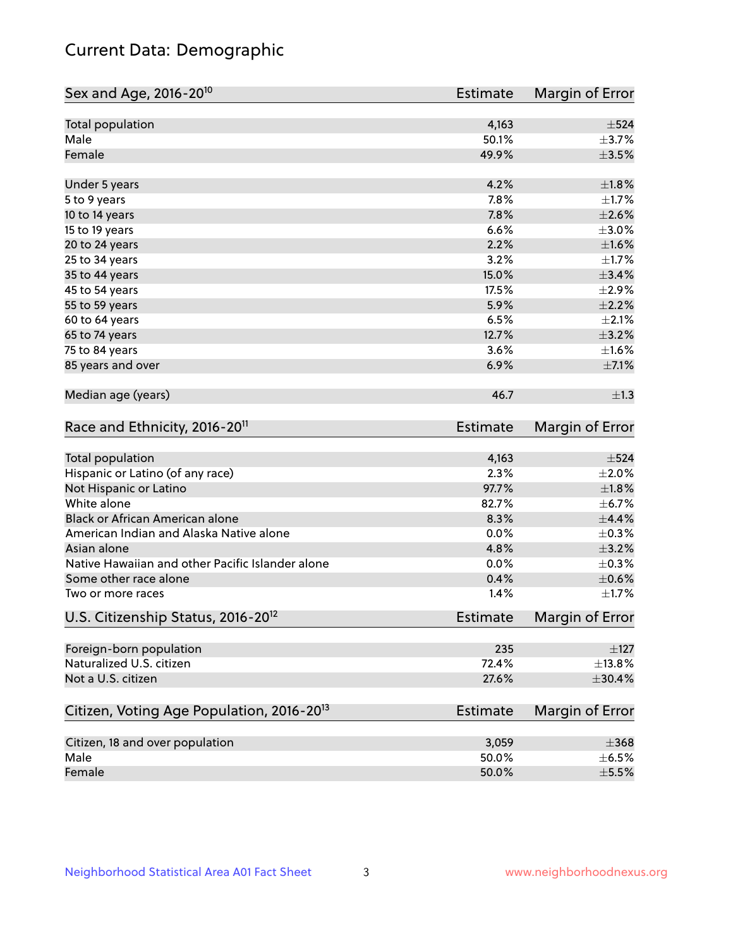## Current Data: Demographic

| Sex and Age, 2016-20 <sup>10</sup>                    | <b>Estimate</b> | Margin of Error |
|-------------------------------------------------------|-----------------|-----------------|
| Total population                                      | 4,163           | $\pm$ 524       |
| Male                                                  | 50.1%           | $\pm$ 3.7%      |
| Female                                                | 49.9%           | $\pm$ 3.5%      |
| Under 5 years                                         | 4.2%            | ±1.8%           |
| 5 to 9 years                                          | 7.8%            | $\pm 1.7\%$     |
| 10 to 14 years                                        | 7.8%            | $\pm 2.6\%$     |
| 15 to 19 years                                        | 6.6%            | $\pm 3.0\%$     |
| 20 to 24 years                                        | 2.2%            | $\pm1.6\%$      |
| 25 to 34 years                                        | 3.2%            | $\pm 1.7\%$     |
| 35 to 44 years                                        | 15.0%           | ±3.4%           |
| 45 to 54 years                                        | 17.5%           | $\pm 2.9\%$     |
| 55 to 59 years                                        | 5.9%            | $\pm 2.2\%$     |
| 60 to 64 years                                        | 6.5%            | $\pm 2.1\%$     |
| 65 to 74 years                                        | 12.7%           | $\pm$ 3.2%      |
| 75 to 84 years                                        | 3.6%            | ±1.6%           |
| 85 years and over                                     | 6.9%            | $\pm$ 7.1%      |
| Median age (years)                                    | 46.7            | $\pm 1.3$       |
| Race and Ethnicity, 2016-20 <sup>11</sup>             | <b>Estimate</b> | Margin of Error |
| Total population                                      | 4,163           | $\pm$ 524       |
| Hispanic or Latino (of any race)                      | 2.3%            | $\pm 2.0\%$     |
| Not Hispanic or Latino                                | 97.7%           | $\pm1.8\%$      |
| White alone                                           | 82.7%           | $\pm$ 6.7%      |
| Black or African American alone                       | 8.3%            | $\pm$ 4.4%      |
| American Indian and Alaska Native alone               | 0.0%            | $\pm$ 0.3%      |
| Asian alone                                           | 4.8%            | $\pm$ 3.2%      |
| Native Hawaiian and other Pacific Islander alone      | 0.0%            | $\pm$ 0.3%      |
| Some other race alone                                 | 0.4%            | $\pm$ 0.6%      |
| Two or more races                                     | 1.4%            | $\pm1.7\%$      |
| U.S. Citizenship Status, 2016-20 <sup>12</sup>        | <b>Estimate</b> | Margin of Error |
| Foreign-born population                               | 235             | $\pm$ 127       |
| Naturalized U.S. citizen                              | 72.4%           | $\pm$ 13.8%     |
| Not a U.S. citizen                                    | 27.6%           | $\pm$ 30.4%     |
| Citizen, Voting Age Population, 2016-20 <sup>13</sup> | Estimate        | Margin of Error |
| Citizen, 18 and over population                       | 3,059           | $\pm 368$       |
| Male                                                  | 50.0%           | $\pm$ 6.5%      |
| Female                                                | 50.0%           | $\pm$ 5.5%      |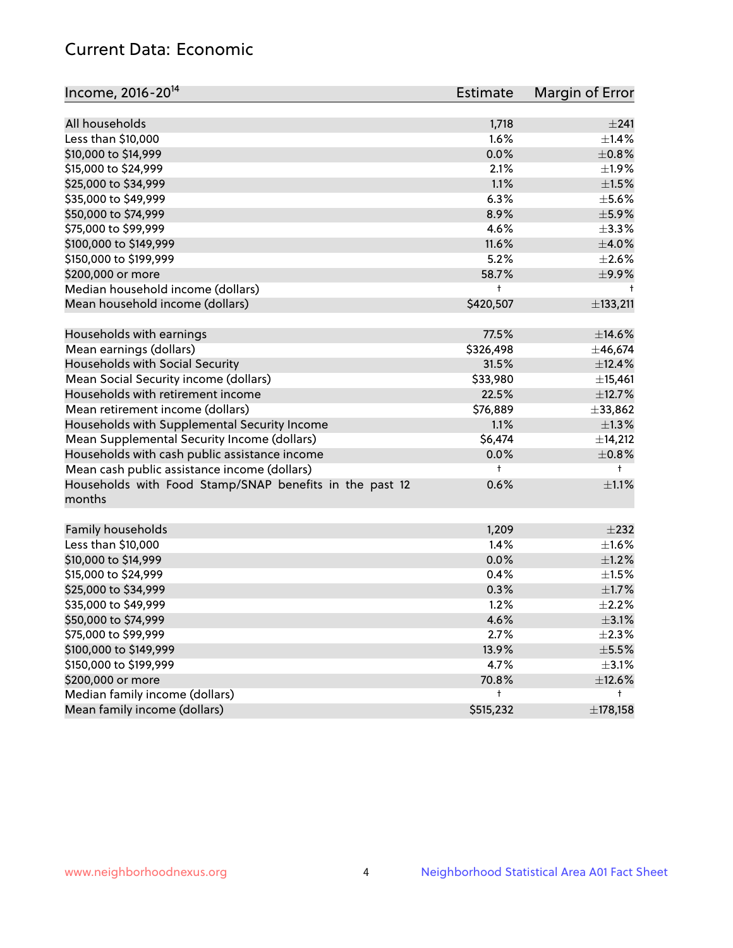## Current Data: Economic

| All households<br>1,718<br>±241<br>1.6%<br>Less than \$10,000<br>$\pm$ 1.4%<br>0.0%<br>\$10,000 to \$14,999<br>$\pm$ 0.8%<br>\$15,000 to \$24,999<br>2.1%<br>$\pm$ 1.9%<br>1.1%<br>$\pm 1.5\%$<br>\$25,000 to \$34,999<br>\$35,000 to \$49,999<br>6.3%<br>$\pm$ 5.6%<br>\$50,000 to \$74,999<br>8.9%<br>$\pm$ 5.9%<br>\$75,000 to \$99,999<br>4.6%<br>$\pm$ 3.3%<br>11.6% | Income, 2016-20 <sup>14</sup> | <b>Estimate</b> | Margin of Error |
|---------------------------------------------------------------------------------------------------------------------------------------------------------------------------------------------------------------------------------------------------------------------------------------------------------------------------------------------------------------------------|-------------------------------|-----------------|-----------------|
|                                                                                                                                                                                                                                                                                                                                                                           |                               |                 |                 |
|                                                                                                                                                                                                                                                                                                                                                                           |                               |                 |                 |
|                                                                                                                                                                                                                                                                                                                                                                           |                               |                 |                 |
|                                                                                                                                                                                                                                                                                                                                                                           |                               |                 |                 |
|                                                                                                                                                                                                                                                                                                                                                                           |                               |                 |                 |
|                                                                                                                                                                                                                                                                                                                                                                           |                               |                 |                 |
|                                                                                                                                                                                                                                                                                                                                                                           |                               |                 |                 |
|                                                                                                                                                                                                                                                                                                                                                                           |                               |                 |                 |
|                                                                                                                                                                                                                                                                                                                                                                           |                               |                 |                 |
|                                                                                                                                                                                                                                                                                                                                                                           | \$100,000 to \$149,999        |                 | $\pm 4.0\%$     |
| 5.2%<br>\$150,000 to \$199,999                                                                                                                                                                                                                                                                                                                                            |                               |                 | $\pm 2.6\%$     |
| 58.7%<br>\$200,000 or more                                                                                                                                                                                                                                                                                                                                                |                               |                 | $\pm$ 9.9%      |
| Median household income (dollars)<br>t                                                                                                                                                                                                                                                                                                                                    |                               |                 | $^{\dagger}$    |
| Mean household income (dollars)<br>\$420,507                                                                                                                                                                                                                                                                                                                              |                               |                 | ±133,211        |
| 77.5%<br>Households with earnings                                                                                                                                                                                                                                                                                                                                         |                               |                 | $\pm$ 14.6%     |
| Mean earnings (dollars)<br>\$326,498                                                                                                                                                                                                                                                                                                                                      |                               |                 | ±46,674         |
| Households with Social Security<br>31.5%                                                                                                                                                                                                                                                                                                                                  |                               |                 | ±12.4%          |
| Mean Social Security income (dollars)<br>\$33,980                                                                                                                                                                                                                                                                                                                         |                               |                 | ±15,461         |
| Households with retirement income<br>22.5%                                                                                                                                                                                                                                                                                                                                |                               |                 | ±12.7%          |
| Mean retirement income (dollars)<br>\$76,889                                                                                                                                                                                                                                                                                                                              |                               |                 | ±33,862         |
| Households with Supplemental Security Income<br>1.1%                                                                                                                                                                                                                                                                                                                      |                               |                 | $\pm 1.3\%$     |
| Mean Supplemental Security Income (dollars)<br>\$6,474                                                                                                                                                                                                                                                                                                                    |                               |                 | ±14,212         |
| Households with cash public assistance income<br>0.0%                                                                                                                                                                                                                                                                                                                     |                               |                 | $\pm 0.8\%$     |
| Mean cash public assistance income (dollars)<br>$\ddagger$<br>$^{\dagger}$                                                                                                                                                                                                                                                                                                |                               |                 |                 |
| Households with Food Stamp/SNAP benefits in the past 12<br>0.6%<br>months                                                                                                                                                                                                                                                                                                 |                               |                 | $\pm 1.1\%$     |
| Family households<br>1,209                                                                                                                                                                                                                                                                                                                                                |                               |                 | $\pm 232$       |
| Less than \$10,000<br>1.4%                                                                                                                                                                                                                                                                                                                                                |                               |                 | $\pm 1.6\%$     |
| \$10,000 to \$14,999<br>0.0%                                                                                                                                                                                                                                                                                                                                              |                               |                 | $\pm 1.2\%$     |
| \$15,000 to \$24,999<br>0.4%                                                                                                                                                                                                                                                                                                                                              |                               |                 | $\pm 1.5\%$     |
| \$25,000 to \$34,999<br>0.3%                                                                                                                                                                                                                                                                                                                                              |                               |                 | $\pm1.7\%$      |
| 1.2%<br>\$35,000 to \$49,999                                                                                                                                                                                                                                                                                                                                              |                               |                 | $\pm 2.2\%$     |
| \$50,000 to \$74,999<br>4.6%                                                                                                                                                                                                                                                                                                                                              |                               |                 | $\pm$ 3.1%      |
| \$75,000 to \$99,999<br>2.7%                                                                                                                                                                                                                                                                                                                                              |                               |                 | $\pm 2.3\%$     |
| \$100,000 to \$149,999<br>13.9%                                                                                                                                                                                                                                                                                                                                           |                               |                 | $\pm$ 5.5%      |
| \$150,000 to \$199,999<br>4.7%                                                                                                                                                                                                                                                                                                                                            |                               |                 | $\pm$ 3.1%      |
| \$200,000 or more<br>70.8%                                                                                                                                                                                                                                                                                                                                                |                               |                 | ±12.6%          |
| Median family income (dollars)<br>t<br>t                                                                                                                                                                                                                                                                                                                                  |                               |                 |                 |
| Mean family income (dollars)<br>\$515,232                                                                                                                                                                                                                                                                                                                                 |                               |                 | ±178,158        |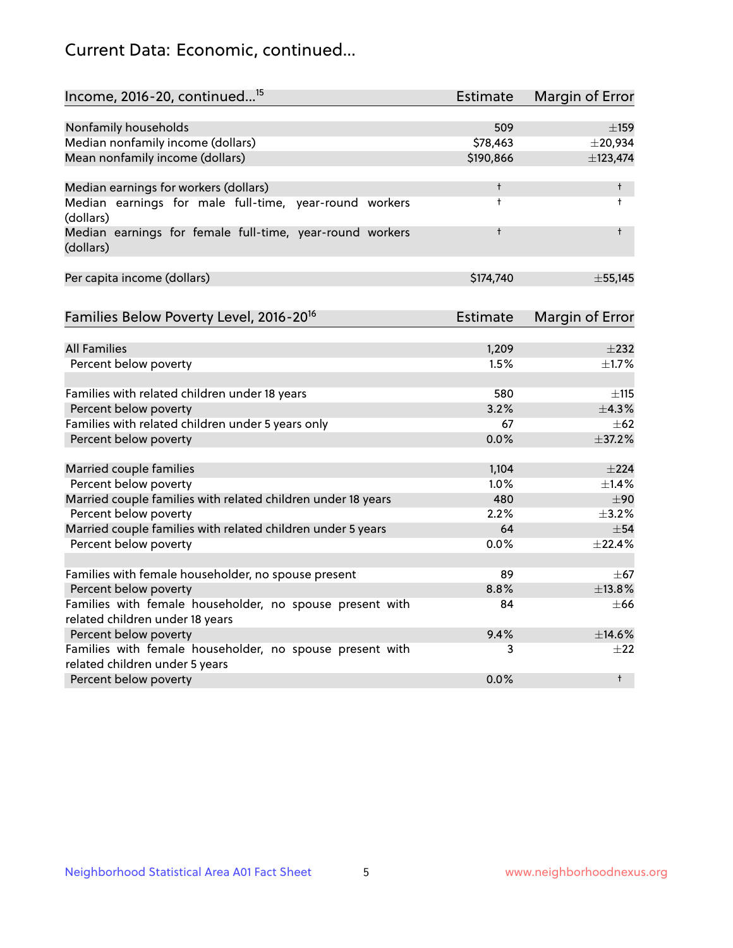## Current Data: Economic, continued...

| Income, 2016-20, continued <sup>15</sup>                                                   | <b>Estimate</b> | <b>Margin of Error</b> |
|--------------------------------------------------------------------------------------------|-----------------|------------------------|
|                                                                                            |                 |                        |
| Nonfamily households                                                                       | 509             | $\pm$ 159              |
| Median nonfamily income (dollars)                                                          | \$78,463        | $±$ 20,934             |
| Mean nonfamily income (dollars)                                                            | \$190,866       | ±123,474               |
| Median earnings for workers (dollars)                                                      | t               | $\dagger$              |
| Median earnings for male full-time, year-round workers                                     | $\ddagger$      | $\ddagger$             |
| (dollars)                                                                                  |                 |                        |
| Median earnings for female full-time, year-round workers<br>(dollars)                      | $\ddagger$      | $\ddagger$             |
| Per capita income (dollars)                                                                | \$174,740       | ± 55,145               |
|                                                                                            |                 |                        |
| Families Below Poverty Level, 2016-20 <sup>16</sup>                                        | <b>Estimate</b> | <b>Margin of Error</b> |
| <b>All Families</b>                                                                        | 1,209           | $\pm 232$              |
| Percent below poverty                                                                      | 1.5%            | $\pm$ 1.7%             |
|                                                                                            |                 |                        |
| Families with related children under 18 years                                              | 580             | $\pm$ 115              |
| Percent below poverty                                                                      | 3.2%            | ±4.3%                  |
| Families with related children under 5 years only                                          | 67              | $\pm 62$               |
| Percent below poverty                                                                      | 0.0%            | ±37.2%                 |
| Married couple families                                                                    | 1,104           | ±224                   |
| Percent below poverty                                                                      | 1.0%            | $\pm$ 1.4%             |
| Married couple families with related children under 18 years                               | 480             | ±90                    |
| Percent below poverty                                                                      | 2.2%            | $\pm$ 3.2%             |
| Married couple families with related children under 5 years                                | 64              | $\pm$ 54               |
| Percent below poverty                                                                      | $0.0\%$         | ±22.4%                 |
|                                                                                            |                 |                        |
| Families with female householder, no spouse present                                        | 89              | $\pm$ 67               |
| Percent below poverty                                                                      | 8.8%            | ±13.8%                 |
| Families with female householder, no spouse present with                                   | 84              | $\pm 66$               |
| related children under 18 years                                                            |                 |                        |
| Percent below poverty                                                                      | 9.4%            | ±14.6%                 |
| Families with female householder, no spouse present with<br>related children under 5 years | 3               | $\pm 22$               |
| Percent below poverty                                                                      | 0.0%            | $^{\dagger}$           |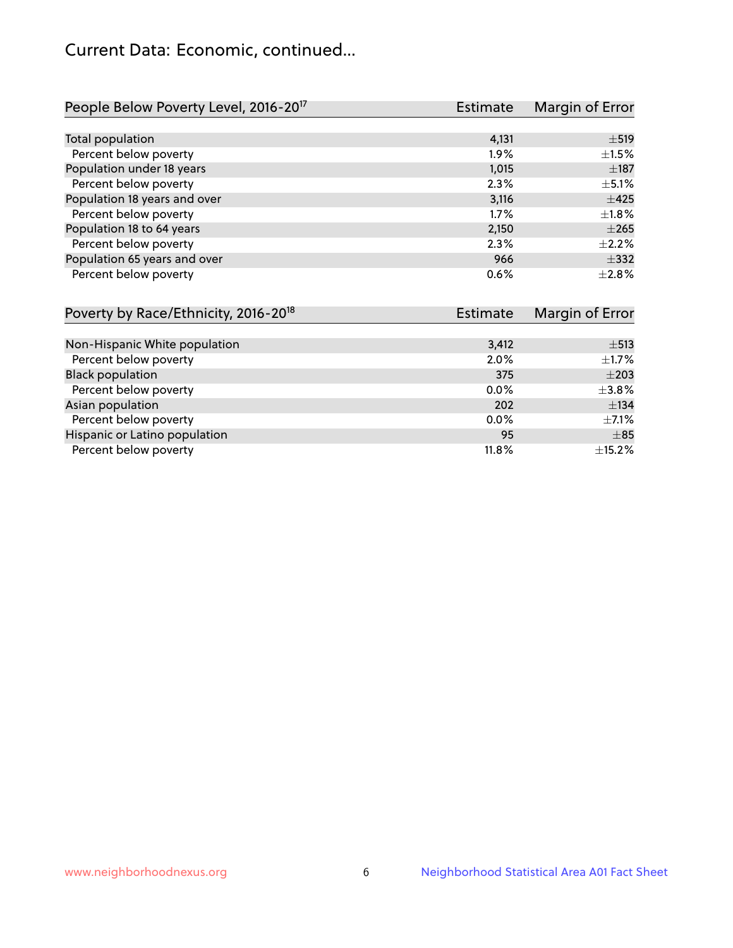## Current Data: Economic, continued...

| People Below Poverty Level, 2016-20 <sup>17</sup> | Estimate | Margin of Error |
|---------------------------------------------------|----------|-----------------|
|                                                   |          |                 |
| Total population                                  | 4,131    | $\pm$ 519       |
| Percent below poverty                             | $1.9\%$  | $\pm 1.5\%$     |
| Population under 18 years                         | 1,015    | $\pm$ 187       |
| Percent below poverty                             | 2.3%     | $\pm$ 5.1%      |
| Population 18 years and over                      | 3,116    | $\pm 425$       |
| Percent below poverty                             | 1.7%     | $\pm 1.8\%$     |
| Population 18 to 64 years                         | 2,150    | $+265$          |
| Percent below poverty                             | 2.3%     | $+2.2%$         |
| Population 65 years and over                      | 966      | $\pm$ 332       |
| Percent below poverty                             | 0.6%     | $+2.8%$         |

| Poverty by Race/Ethnicity, 2016-20 <sup>18</sup> | <b>Estimate</b> | Margin of Error |
|--------------------------------------------------|-----------------|-----------------|
|                                                  |                 |                 |
| Non-Hispanic White population                    | 3,412           | $\pm$ 513       |
| Percent below poverty                            | 2.0%            | $\pm$ 1.7%      |
| <b>Black population</b>                          | 375             | $\pm 203$       |
| Percent below poverty                            | 0.0%            | $\pm 3.8\%$     |
| Asian population                                 | 202             | ±134            |
| Percent below poverty                            | $0.0\%$         | $\pm$ 7.1%      |
| Hispanic or Latino population                    | 95              | $\pm$ 85        |
| Percent below poverty                            | 11.8%           | $\pm$ 15.2%     |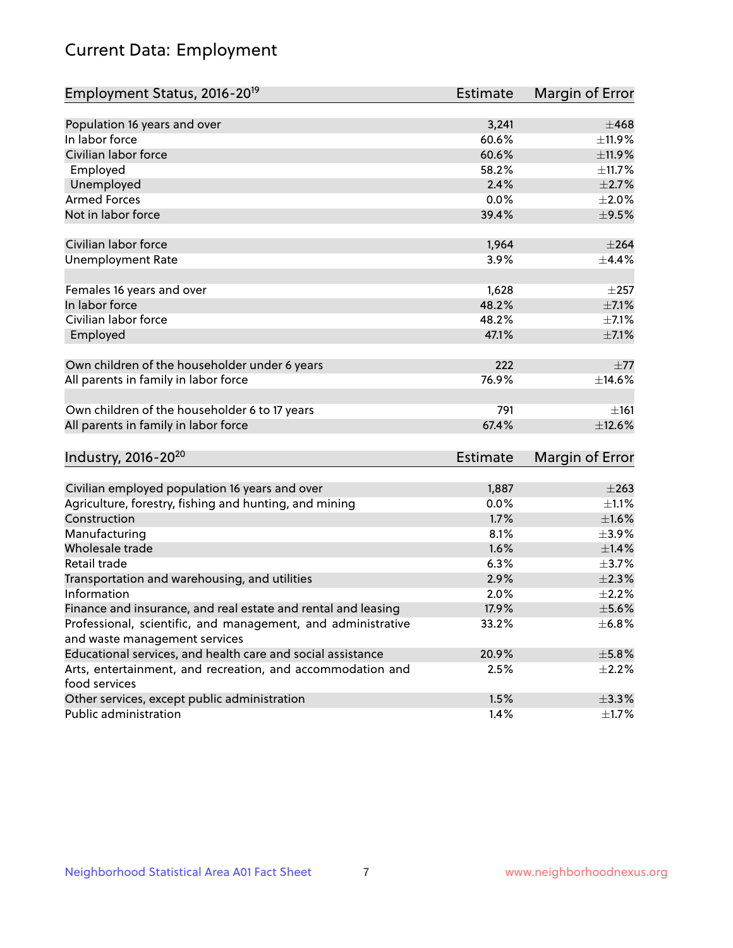# Current Data: Employment

| Employment Status, 2016-20 <sup>19</sup>                                    | Estimate | Margin of Error |
|-----------------------------------------------------------------------------|----------|-----------------|
|                                                                             |          |                 |
| Population 16 years and over                                                | 3,241    | $\pm 468$       |
| In labor force                                                              | 60.6%    | ±11.9%          |
| Civilian labor force                                                        | 60.6%    | ±11.9%          |
| Employed                                                                    | 58.2%    | ±11.7%          |
| Unemployed                                                                  | 2.4%     | $\pm 2.7\%$     |
| <b>Armed Forces</b>                                                         | 0.0%     | $\pm 2.0\%$     |
| Not in labor force                                                          | 39.4%    | $\pm$ 9.5%      |
|                                                                             |          |                 |
| Civilian labor force                                                        | 1,964    | $\pm 264$       |
| <b>Unemployment Rate</b>                                                    | 3.9%     | $\pm$ 4.4%      |
| Females 16 years and over                                                   | 1,628    | $\pm 257$       |
| In labor force                                                              | 48.2%    | $\pm$ 7.1%      |
| Civilian labor force                                                        | 48.2%    | $\pm$ 7.1%      |
| Employed                                                                    | 47.1%    | $\pm$ 7.1%      |
|                                                                             |          |                 |
| Own children of the householder under 6 years                               | 222      | $\pm 77$        |
| All parents in family in labor force                                        | 76.9%    | ±14.6%          |
| Own children of the householder 6 to 17 years                               | 791      | $\pm 161$       |
| All parents in family in labor force                                        | 67.4%    | ±12.6%          |
|                                                                             |          |                 |
| Industry, 2016-20 <sup>20</sup>                                             | Estimate | Margin of Error |
|                                                                             |          |                 |
| Civilian employed population 16 years and over                              | 1,887    | $\pm 263$       |
| Agriculture, forestry, fishing and hunting, and mining                      | 0.0%     | $\pm 1.1\%$     |
| Construction                                                                | 1.7%     | $\pm1.6\%$      |
| Manufacturing                                                               | 8.1%     | $\pm$ 3.9%      |
| Wholesale trade                                                             | 1.6%     | $\pm$ 1.4%      |
| Retail trade                                                                | 6.3%     | $\pm$ 3.7%      |
| Transportation and warehousing, and utilities                               | 2.9%     | $\pm 2.3\%$     |
| Information                                                                 | 2.0%     | $\pm 2.2\%$     |
| Finance and insurance, and real estate and rental and leasing               | 17.9%    | $\pm$ 5.6%      |
| Professional, scientific, and management, and administrative                | 33.2%    | $\pm$ 6.8%      |
| and waste management services                                               |          |                 |
| Educational services, and health care and social assistance                 | 20.9%    | $\pm$ 5.8%      |
| Arts, entertainment, and recreation, and accommodation and<br>food services | 2.5%     | $\pm 2.2\%$     |
| Other services, except public administration                                | 1.5%     | $\pm$ 3.3%      |
| Public administration                                                       | 1.4%     | $\pm$ 1.7%      |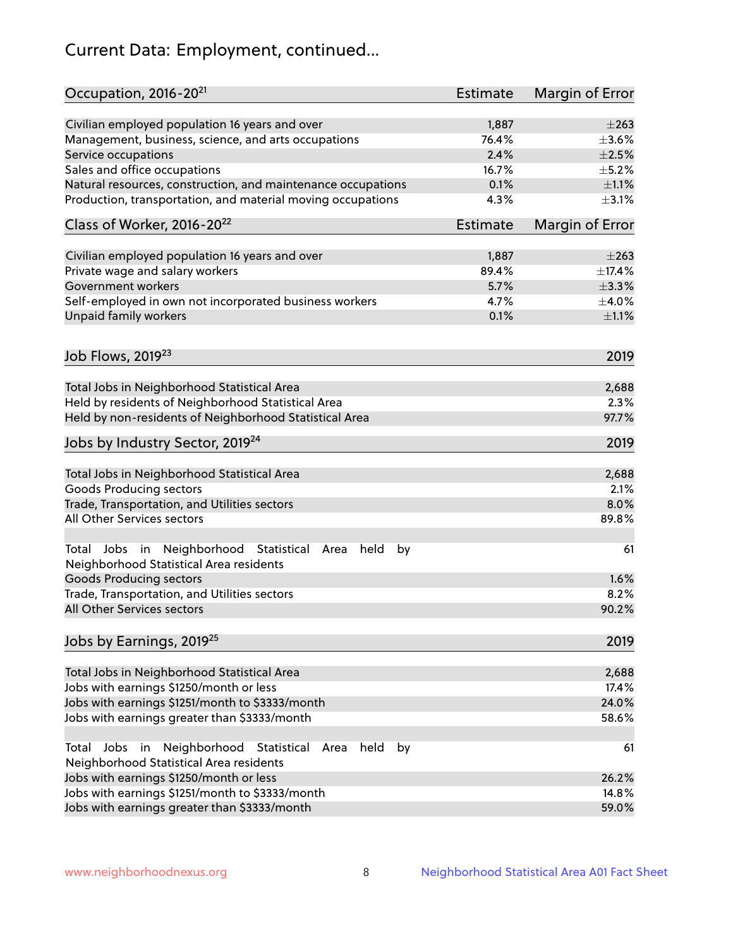# Current Data: Employment, continued...

| Occupation, 2016-20 <sup>21</sup>                                                                                | <b>Estimate</b> | Margin of Error |
|------------------------------------------------------------------------------------------------------------------|-----------------|-----------------|
| Civilian employed population 16 years and over                                                                   | 1,887           | $\pm 263$       |
| Management, business, science, and arts occupations                                                              | 76.4%           | $\pm 3.6\%$     |
| Service occupations                                                                                              | 2.4%            | $\pm 2.5\%$     |
| Sales and office occupations                                                                                     | 16.7%           | $\pm$ 5.2%      |
| Natural resources, construction, and maintenance occupations                                                     | 0.1%            | $\pm 1.1\%$     |
| Production, transportation, and material moving occupations                                                      | 4.3%            | $\pm$ 3.1%      |
| Class of Worker, 2016-20 <sup>22</sup>                                                                           | Estimate        | Margin of Error |
| Civilian employed population 16 years and over                                                                   | 1,887           | $\pm 263$       |
| Private wage and salary workers                                                                                  | 89.4%           | ±17.4%          |
| Government workers                                                                                               | 5.7%            | ±3.3%           |
| Self-employed in own not incorporated business workers                                                           | 4.7%            | $\pm$ 4.0%      |
| Unpaid family workers                                                                                            | 0.1%            | $\pm 1.1\%$     |
| Job Flows, 2019 <sup>23</sup>                                                                                    |                 | 2019            |
|                                                                                                                  |                 |                 |
| Total Jobs in Neighborhood Statistical Area                                                                      |                 | 2,688           |
| Held by residents of Neighborhood Statistical Area                                                               |                 | 2.3%            |
| Held by non-residents of Neighborhood Statistical Area                                                           |                 | 97.7%           |
| Jobs by Industry Sector, 2019 <sup>24</sup>                                                                      |                 | 2019            |
| Total Jobs in Neighborhood Statistical Area                                                                      |                 | 2,688           |
| <b>Goods Producing sectors</b>                                                                                   |                 | 2.1%            |
| Trade, Transportation, and Utilities sectors                                                                     |                 | 8.0%            |
| All Other Services sectors                                                                                       |                 | 89.8%           |
| Total Jobs in Neighborhood Statistical<br>held<br>by<br>Area<br>Neighborhood Statistical Area residents          |                 | 61              |
| <b>Goods Producing sectors</b>                                                                                   |                 | 1.6%            |
| Trade, Transportation, and Utilities sectors                                                                     |                 | 8.2%            |
| All Other Services sectors                                                                                       |                 | 90.2%           |
| Jobs by Earnings, 2019 <sup>25</sup>                                                                             |                 | 2019            |
| Total Jobs in Neighborhood Statistical Area                                                                      |                 | 2,688           |
| Jobs with earnings \$1250/month or less                                                                          |                 | 17.4%           |
| Jobs with earnings \$1251/month to \$3333/month                                                                  |                 | 24.0%           |
| Jobs with earnings greater than \$3333/month                                                                     |                 | 58.6%           |
| Neighborhood Statistical<br>Jobs<br>in<br>held<br>by<br>Total<br>Area<br>Neighborhood Statistical Area residents |                 | 61              |
| Jobs with earnings \$1250/month or less                                                                          |                 | 26.2%           |
| Jobs with earnings \$1251/month to \$3333/month                                                                  |                 | 14.8%           |
| Jobs with earnings greater than \$3333/month                                                                     |                 | 59.0%           |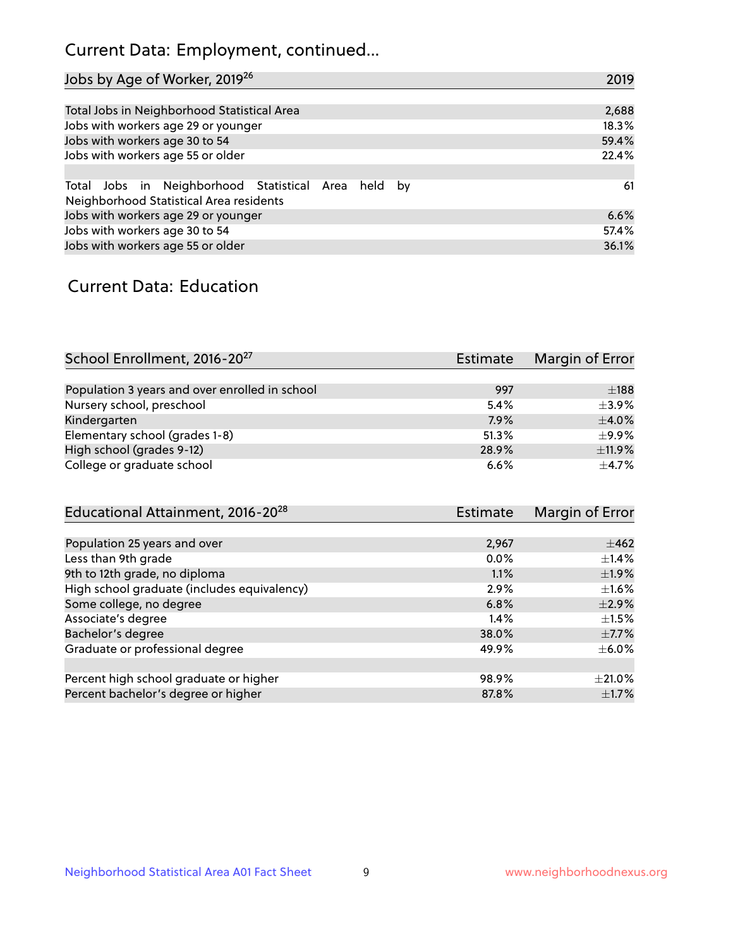## Current Data: Employment, continued...

| Jobs by Age of Worker, 2019 <sup>26</sup>                                                      | 2019  |
|------------------------------------------------------------------------------------------------|-------|
|                                                                                                |       |
| Total Jobs in Neighborhood Statistical Area                                                    | 2,688 |
| Jobs with workers age 29 or younger                                                            | 18.3% |
| Jobs with workers age 30 to 54                                                                 | 59.4% |
| Jobs with workers age 55 or older                                                              | 22.4% |
|                                                                                                |       |
| Total Jobs in Neighborhood Statistical Area held by<br>Neighborhood Statistical Area residents | 61    |
| Jobs with workers age 29 or younger                                                            | 6.6%  |
| Jobs with workers age 30 to 54                                                                 | 57.4% |
| Jobs with workers age 55 or older                                                              | 36.1% |

### Current Data: Education

| School Enrollment, 2016-20 <sup>27</sup>       | Estimate | Margin of Error |
|------------------------------------------------|----------|-----------------|
|                                                |          |                 |
| Population 3 years and over enrolled in school | 997      | $\pm$ 188       |
| Nursery school, preschool                      | 5.4%     | $+3.9%$         |
| Kindergarten                                   | 7.9%     | $\pm$ 4.0%      |
| Elementary school (grades 1-8)                 | 51.3%    | $+9.9%$         |
| High school (grades 9-12)                      | 28.9%    | $\pm$ 11.9%     |
| College or graduate school                     | 6.6%     | $+4.7%$         |

| Educational Attainment, 2016-20 <sup>28</sup> | Estimate | Margin of Error |
|-----------------------------------------------|----------|-----------------|
|                                               |          |                 |
| Population 25 years and over                  | 2,967    | $\pm$ 462       |
| Less than 9th grade                           | 0.0%     | $\pm$ 1.4%      |
| 9th to 12th grade, no diploma                 | 1.1%     | $\pm$ 1.9%      |
| High school graduate (includes equivalency)   | 2.9%     | $\pm 1.6\%$     |
| Some college, no degree                       | 6.8%     | $\pm 2.9\%$     |
| Associate's degree                            | 1.4%     | $\pm 1.5\%$     |
| Bachelor's degree                             | 38.0%    | $\pm$ 7.7%      |
| Graduate or professional degree               | 49.9%    | $\pm$ 6.0%      |
|                                               |          |                 |
| Percent high school graduate or higher        | 98.9%    | $\pm 21.0\%$    |
| Percent bachelor's degree or higher           | 87.8%    | $\pm$ 1.7%      |
|                                               |          |                 |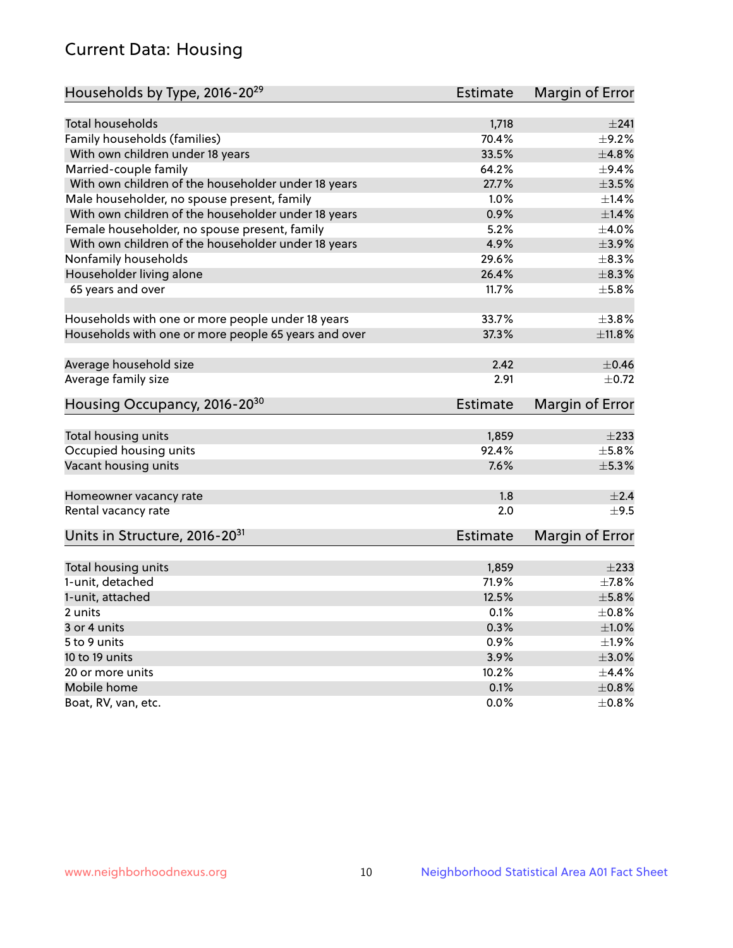## Current Data: Housing

| Households by Type, 2016-20 <sup>29</sup>            | <b>Estimate</b> | Margin of Error |
|------------------------------------------------------|-----------------|-----------------|
|                                                      |                 |                 |
| Total households                                     | 1,718           | ±241            |
| Family households (families)                         | 70.4%           | $\pm$ 9.2%      |
| With own children under 18 years                     | 33.5%           | ±4.8%           |
| Married-couple family                                | 64.2%           | $\pm$ 9.4%      |
| With own children of the householder under 18 years  | 27.7%           | $\pm 3.5\%$     |
| Male householder, no spouse present, family          | 1.0%            | $\pm$ 1.4%      |
| With own children of the householder under 18 years  | 0.9%            | $\pm 1.4\%$     |
| Female householder, no spouse present, family        | 5.2%            | $\pm 4.0\%$     |
| With own children of the householder under 18 years  | 4.9%            | $\pm$ 3.9%      |
| Nonfamily households                                 | 29.6%           | $\pm$ 8.3%      |
| Householder living alone                             | 26.4%           | $\pm$ 8.3%      |
| 65 years and over                                    | 11.7%           | $\pm$ 5.8%      |
| Households with one or more people under 18 years    | 33.7%           | $\pm 3.8\%$     |
| Households with one or more people 65 years and over | 37.3%           | $\pm$ 11.8%     |
|                                                      |                 |                 |
| Average household size                               | 2.42            | $\pm$ 0.46      |
| Average family size                                  | 2.91            | $\pm$ 0.72      |
| Housing Occupancy, 2016-20 <sup>30</sup>             | <b>Estimate</b> | Margin of Error |
| Total housing units                                  | 1,859           | $\pm 233$       |
| Occupied housing units                               | 92.4%           | $\pm$ 5.8%      |
| Vacant housing units                                 | 7.6%            | $\pm$ 5.3%      |
|                                                      |                 |                 |
| Homeowner vacancy rate                               | 1.8             | ±2.4            |
| Rental vacancy rate                                  | 2.0             | $+9.5$          |
| Units in Structure, 2016-20 <sup>31</sup>            | Estimate        | Margin of Error |
|                                                      |                 | $\pm 233$       |
| Total housing units                                  | 1,859<br>71.9%  |                 |
| 1-unit, detached                                     |                 | $\pm$ 7.8%      |
| 1-unit, attached                                     | 12.5%           | $\pm$ 5.8%      |
| 2 units                                              | 0.1%            | $\pm$ 0.8%      |
| 3 or 4 units                                         | 0.3%            | $\pm 1.0\%$     |
| 5 to 9 units                                         | 0.9%            | $\pm 1.9\%$     |
| 10 to 19 units                                       | 3.9%            | $\pm 3.0\%$     |
| 20 or more units                                     | 10.2%           | $\pm$ 4.4%      |
| Mobile home                                          | 0.1%            | $\pm$ 0.8%      |
| Boat, RV, van, etc.                                  | $0.0\%$         | $\pm$ 0.8%      |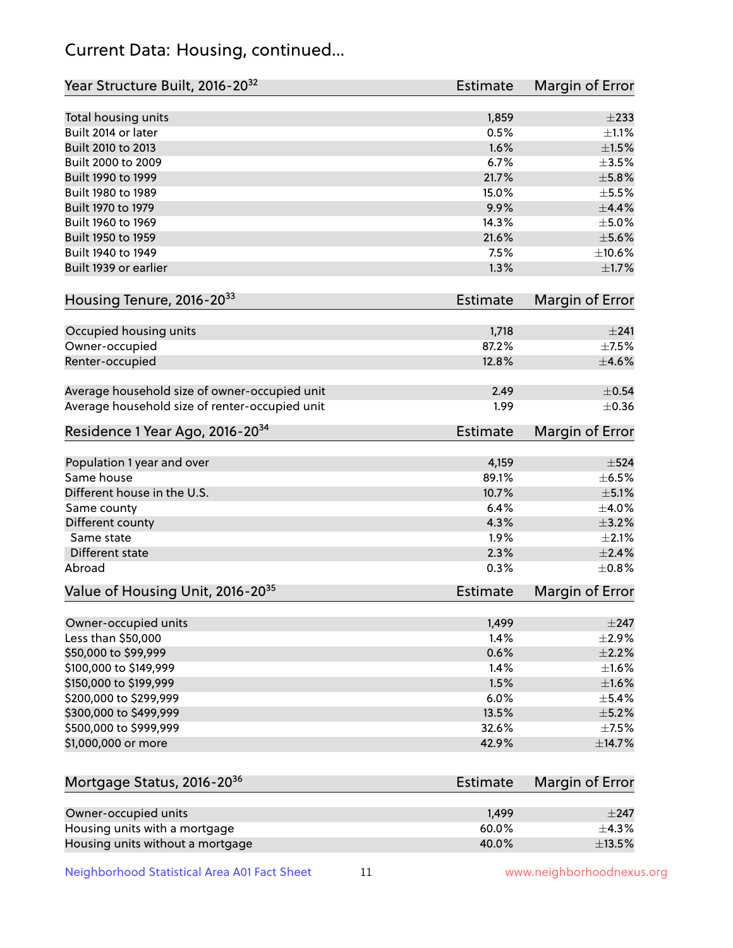## Current Data: Housing, continued...

| Year Structure Built, 2016-20 <sup>32</sup>    | Estimate        | <b>Margin of Error</b> |
|------------------------------------------------|-----------------|------------------------|
| Total housing units                            | 1,859           | $\pm 233$              |
| Built 2014 or later                            | 0.5%            | $\pm 1.1\%$            |
| Built 2010 to 2013                             | 1.6%            | $\pm1.5\%$             |
| Built 2000 to 2009                             | 6.7%            | $\pm$ 3.5%             |
| Built 1990 to 1999                             | 21.7%           | $\pm$ 5.8%             |
| Built 1980 to 1989                             | 15.0%           | $\pm$ 5.5%             |
| Built 1970 to 1979                             | 9.9%            | $\pm$ 4.4%             |
| Built 1960 to 1969                             | 14.3%           | $\pm$ 5.0%             |
| Built 1950 to 1959                             | 21.6%           | $\pm$ 5.6%             |
| Built 1940 to 1949                             | 7.5%            | ±10.6%                 |
| Built 1939 or earlier                          | 1.3%            | $\pm1.7\%$             |
| Housing Tenure, 2016-2033                      | Estimate        | Margin of Error        |
| Occupied housing units                         | 1,718           | $\pm 241$              |
| Owner-occupied                                 | 87.2%           | $\pm$ 7.5%             |
| Renter-occupied                                | 12.8%           | $\pm$ 4.6%             |
| Average household size of owner-occupied unit  | 2.49            | $\pm$ 0.54             |
| Average household size of renter-occupied unit | 1.99            | $\pm$ 0.36             |
| Residence 1 Year Ago, 2016-20 <sup>34</sup>    | <b>Estimate</b> | <b>Margin of Error</b> |
| Population 1 year and over                     | 4,159           | $\pm$ 524              |
| Same house                                     | 89.1%           | $\pm$ 6.5%             |
| Different house in the U.S.                    | 10.7%           | $\pm$ 5.1%             |
| Same county                                    | 6.4%            | $\pm$ 4.0%             |
| Different county                               | 4.3%            | $\pm$ 3.2%             |
| Same state                                     | 1.9%            | $\pm 2.1\%$            |
| Different state                                | 2.3%            | $\pm 2.4\%$            |
| Abroad                                         | 0.3%            | $\pm$ 0.8%             |
| Value of Housing Unit, 2016-20 <sup>35</sup>   | <b>Estimate</b> | Margin of Error        |
| Owner-occupied units                           | 1,499           | $\pm$ 247              |
| Less than \$50,000                             | 1.4%            | $\pm 2.9\%$            |
| \$50,000 to \$99,999                           | 0.6%            | $\pm 2.2\%$            |
| \$100,000 to \$149,999                         | 1.4%            | $\pm1.6\%$             |
| \$150,000 to \$199,999                         | 1.5%            | ±1.6%                  |
| \$200,000 to \$299,999                         | 6.0%            | $\pm$ 5.4%             |
| \$300,000 to \$499,999                         | 13.5%           | $\pm$ 5.2%             |
| \$500,000 to \$999,999                         | 32.6%           | $\pm$ 7.5%             |
| \$1,000,000 or more                            | 42.9%           | ±14.7%                 |
| Mortgage Status, 2016-20 <sup>36</sup>         | <b>Estimate</b> | Margin of Error        |
| Owner-occupied units                           | 1,499           | $\pm$ 247              |
| Housing units with a mortgage                  | 60.0%           | ±4.3%                  |

Housing units without a mortgage  $\pm 13.5\%$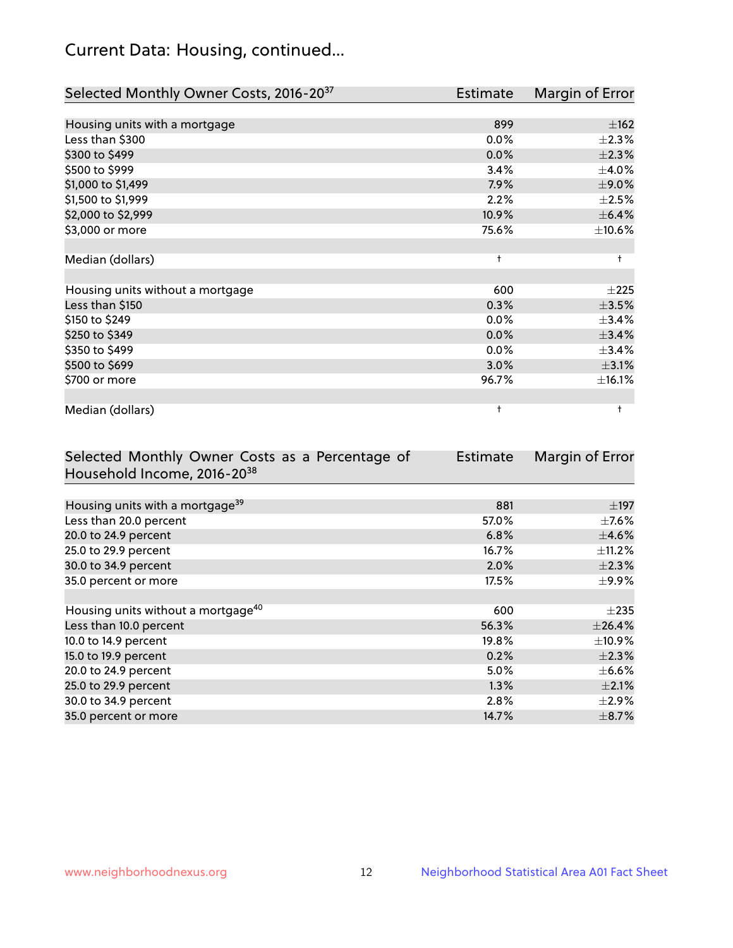## Current Data: Housing, continued...

| Selected Monthly Owner Costs, 2016-20 <sup>37</sup> | <b>Estimate</b> | Margin of Error |
|-----------------------------------------------------|-----------------|-----------------|
|                                                     |                 |                 |
| Housing units with a mortgage                       | 899             | ±162            |
| Less than \$300                                     | 0.0%            | $\pm 2.3\%$     |
| \$300 to \$499                                      | 0.0%            | $\pm 2.3\%$     |
| \$500 to \$999                                      | 3.4%            | $\pm$ 4.0%      |
| \$1,000 to \$1,499                                  | 7.9%            | $\pm$ 9.0%      |
| \$1,500 to \$1,999                                  | 2.2%            | $\pm 2.5\%$     |
| \$2,000 to \$2,999                                  | 10.9%           | $\pm$ 6.4%      |
| \$3,000 or more                                     | 75.6%           | ±10.6%          |
|                                                     |                 |                 |
| Median (dollars)                                    | $\ddagger$      | $\ddagger$      |
|                                                     |                 |                 |
| Housing units without a mortgage                    | 600             | $\pm 225$       |
| Less than \$150                                     | 0.3%            | $\pm 3.5\%$     |
| \$150 to \$249                                      | 0.0%            | ±3.4%           |
| \$250 to \$349                                      | 0.0%            | ±3.4%           |
| \$350 to \$499                                      | $0.0\%$         | ±3.4%           |
| \$500 to \$699                                      | 3.0%            | $\pm$ 3.1%      |
| \$700 or more                                       | 96.7%           | ±16.1%          |
|                                                     |                 |                 |
| Median (dollars)                                    | t               | ŧ               |

| Selected Monthly Owner Costs as a Percentage of | Estimate | Margin of Error |
|-------------------------------------------------|----------|-----------------|
| Household Income, 2016-20 <sup>38</sup>         |          |                 |
|                                                 |          |                 |
| Housing units with a mortgage <sup>39</sup>     | 881      | $\pm$ 197       |
| Less than 20.0 percent                          | 57.0%    | $\pm$ 7.6%      |
| 20.0 to 24.9 percent                            | 6.8%     | $\pm$ 4.6%      |
| 25.0 to 29.9 percent                            | 16.7%    | $\pm$ 11.2%     |
| 30.0 to 34.9 percent                            | 2.0%     | $\pm 2.3\%$     |
| 35.0 percent or more                            | 17.5%    | $\pm$ 9.9%      |
|                                                 |          |                 |
| Housing units without a mortgage <sup>40</sup>  | 600      | $\pm 235$       |
| Less than 10.0 percent                          | 56.3%    | ±26.4%          |
| 10.0 to 14.9 percent                            | 19.8%    | $\pm$ 10.9%     |
| 15.0 to 19.9 percent                            | 0.2%     | $\pm 2.3\%$     |
| 20.0 to 24.9 percent                            | 5.0%     | $\pm$ 6.6%      |
| 25.0 to 29.9 percent                            | 1.3%     | $\pm 2.1\%$     |
| 30.0 to 34.9 percent                            | 2.8%     | $\pm 2.9\%$     |
| 35.0 percent or more                            | 14.7%    | $\pm$ 8.7%      |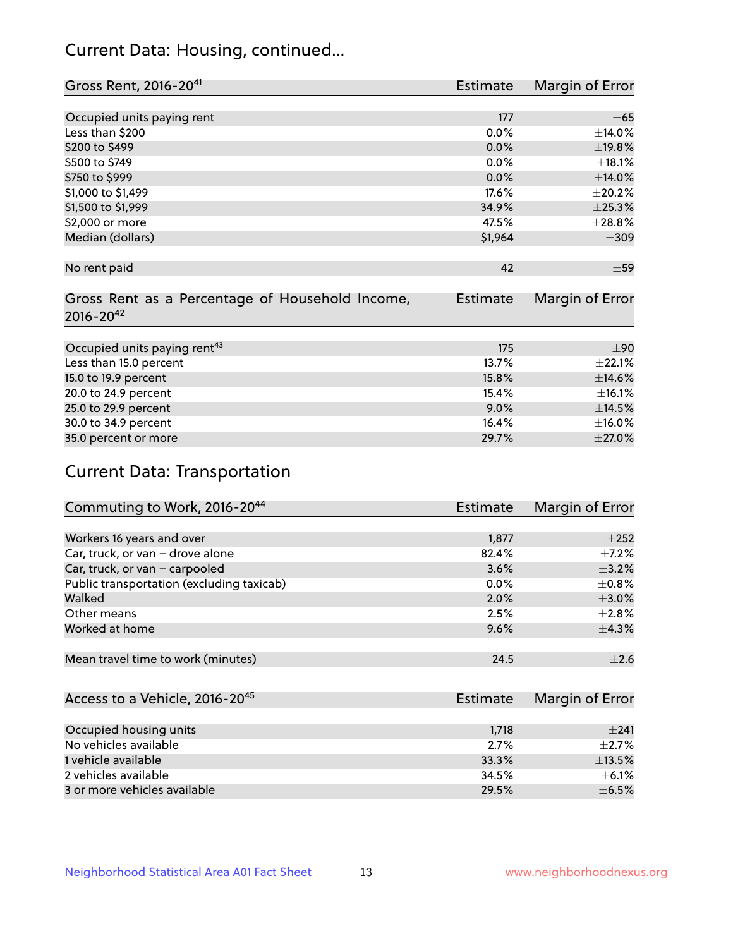## Current Data: Housing, continued...

| Gross Rent, 2016-2041                           | Estimate        | Margin of Error |
|-------------------------------------------------|-----------------|-----------------|
|                                                 |                 |                 |
| Occupied units paying rent                      | 177             | $\pm 65$        |
| Less than \$200                                 | 0.0%            | ±14.0%          |
| \$200 to \$499                                  | 0.0%            | ±19.8%          |
| \$500 to \$749                                  | 0.0%            | ±18.1%          |
| \$750 to \$999                                  | 0.0%            | $\pm$ 14.0%     |
| \$1,000 to \$1,499                              | 17.6%           | $\pm 20.2\%$    |
| \$1,500 to \$1,999                              | 34.9%           | ±25.3%          |
| \$2,000 or more                                 | 47.5%           | ±28.8%          |
| Median (dollars)                                | \$1,964         | $\pm 309$       |
|                                                 |                 |                 |
| No rent paid                                    | 42              | $\pm$ 59        |
|                                                 |                 |                 |
| Gross Rent as a Percentage of Household Income, | <b>Estimate</b> | Margin of Error |
| $2016 - 20^{42}$                                |                 |                 |
|                                                 |                 |                 |
| Occupied units paying rent <sup>43</sup>        | 175             | $+90$           |
| Less than 15.0 percent                          | 13.7%           | ±22.1%          |
| 15.0 to 19.9 percent                            | 15.8%           | $\pm$ 14.6%     |
| 20.0 to 24.9 percent                            | 15.4%           | ±16.1%          |
| 25.0 to 29.9 percent                            | 9.0%            | ±14.5%          |
| 30.0 to 34.9 percent                            | 16.4%           | $\pm$ 16.0%     |
| 35.0 percent or more                            | 29.7%           | $\pm 27.0\%$    |

# Current Data: Transportation

| Commuting to Work, 2016-20 <sup>44</sup>  | <b>Estimate</b> | Margin of Error |
|-------------------------------------------|-----------------|-----------------|
|                                           |                 |                 |
| Workers 16 years and over                 | 1,877           | $+252$          |
| Car, truck, or van - drove alone          | 82.4%           | $\pm$ 7.2%      |
| Car, truck, or van - carpooled            | 3.6%            | $\pm$ 3.2%      |
| Public transportation (excluding taxicab) | $0.0\%$         | $\pm$ 0.8%      |
| Walked                                    | 2.0%            | $\pm$ 3.0%      |
| Other means                               | 2.5%            | $\pm 2.8\%$     |
| Worked at home                            | 9.6%            | ±4.3%           |
|                                           |                 |                 |
| Mean travel time to work (minutes)        | 24.5            | $\pm 2.6$       |

| Access to a Vehicle, 2016-20 <sup>45</sup> | Estimate | Margin of Error |
|--------------------------------------------|----------|-----------------|
|                                            |          |                 |
| Occupied housing units                     | 1,718    | $+241$          |
| No vehicles available                      | $2.7\%$  | $+2.7%$         |
| 1 vehicle available                        | 33.3%    | ±13.5%          |
| 2 vehicles available                       | 34.5%    | $+6.1%$         |
| 3 or more vehicles available               | 29.5%    | $\pm$ 6.5%      |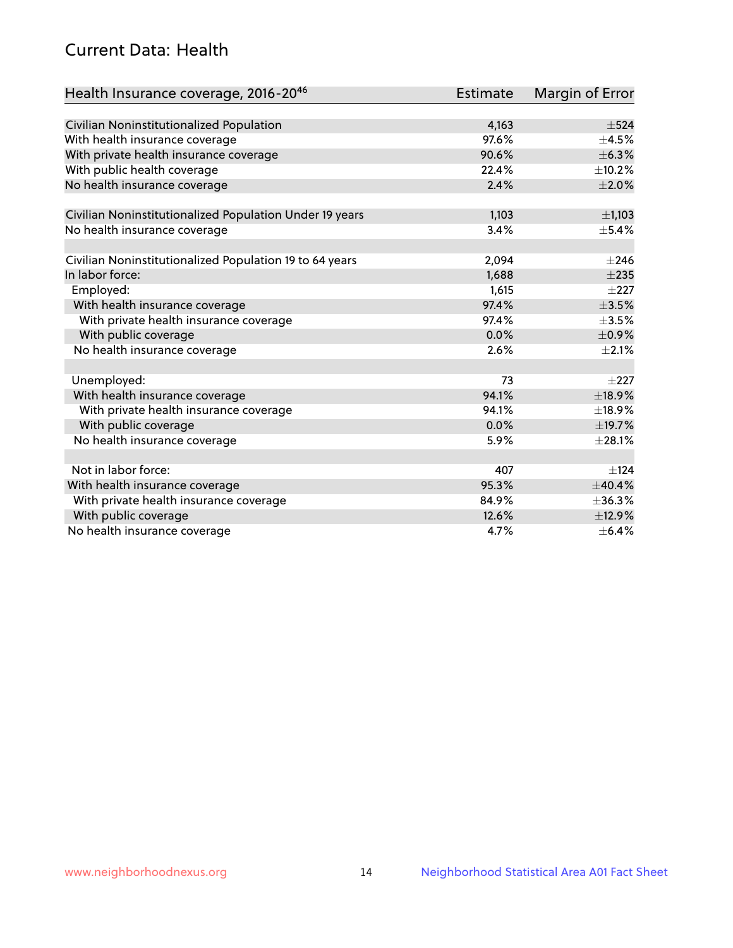## Current Data: Health

| Health Insurance coverage, 2016-2046                    | <b>Estimate</b> | Margin of Error |
|---------------------------------------------------------|-----------------|-----------------|
|                                                         |                 |                 |
| Civilian Noninstitutionalized Population                | 4,163           | $\pm$ 524       |
| With health insurance coverage                          | 97.6%           | $\pm$ 4.5%      |
| With private health insurance coverage                  | 90.6%           | ±6.3%           |
| With public health coverage                             | 22.4%           | ±10.2%          |
| No health insurance coverage                            | 2.4%            | $\pm 2.0\%$     |
| Civilian Noninstitutionalized Population Under 19 years | 1,103           | $\pm$ 1,103     |
| No health insurance coverage                            | 3.4%            | $\pm$ 5.4%      |
|                                                         |                 |                 |
| Civilian Noninstitutionalized Population 19 to 64 years | 2,094           | $\pm 246$       |
| In labor force:                                         | 1,688           | $\pm 235$       |
| Employed:                                               | 1,615           | $\pm 227$       |
| With health insurance coverage                          | 97.4%           | $\pm 3.5\%$     |
| With private health insurance coverage                  | 97.4%           | $\pm 3.5\%$     |
| With public coverage                                    | 0.0%            | $\pm$ 0.9%      |
| No health insurance coverage                            | 2.6%            | $\pm 2.1\%$     |
|                                                         |                 |                 |
| Unemployed:                                             | 73              | $+227$          |
| With health insurance coverage                          | 94.1%           | ±18.9%          |
| With private health insurance coverage                  | 94.1%           | ±18.9%          |
| With public coverage                                    | 0.0%            | ±19.7%          |
| No health insurance coverage                            | 5.9%            | ±28.1%          |
| Not in labor force:                                     | 407             | ±124            |
| With health insurance coverage                          | 95.3%           | ±40.4%          |
| With private health insurance coverage                  | 84.9%           | ±36.3%          |
| With public coverage                                    | 12.6%           | ±12.9%          |
| No health insurance coverage                            | 4.7%            | $\pm$ 6.4%      |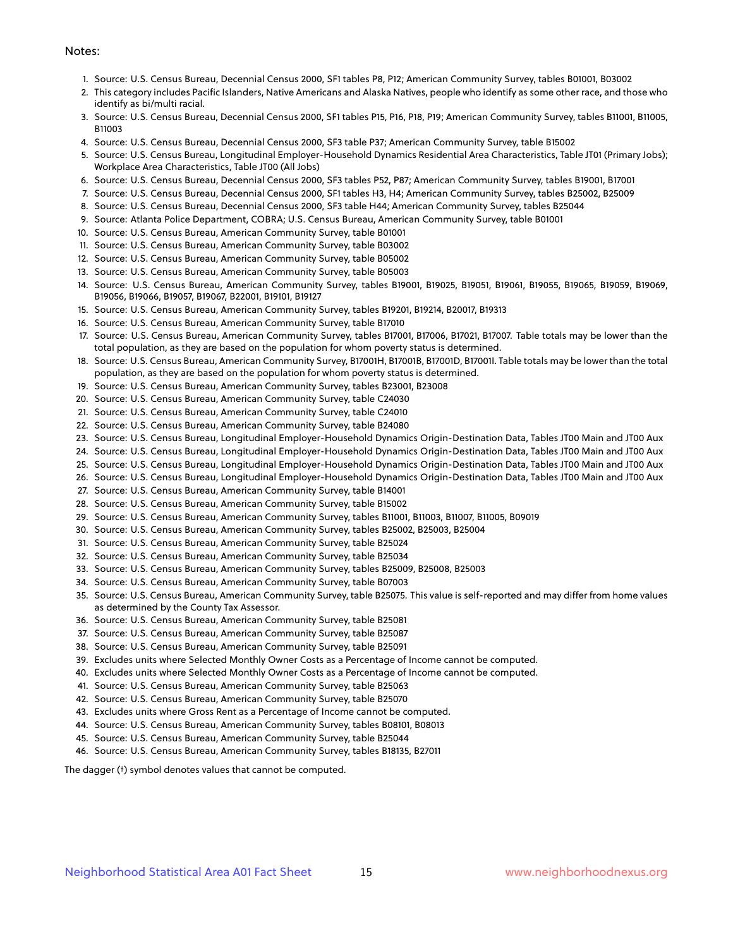#### Notes:

- 1. Source: U.S. Census Bureau, Decennial Census 2000, SF1 tables P8, P12; American Community Survey, tables B01001, B03002
- 2. This category includes Pacific Islanders, Native Americans and Alaska Natives, people who identify as some other race, and those who identify as bi/multi racial.
- 3. Source: U.S. Census Bureau, Decennial Census 2000, SF1 tables P15, P16, P18, P19; American Community Survey, tables B11001, B11005, B11003
- 4. Source: U.S. Census Bureau, Decennial Census 2000, SF3 table P37; American Community Survey, table B15002
- 5. Source: U.S. Census Bureau, Longitudinal Employer-Household Dynamics Residential Area Characteristics, Table JT01 (Primary Jobs); Workplace Area Characteristics, Table JT00 (All Jobs)
- 6. Source: U.S. Census Bureau, Decennial Census 2000, SF3 tables P52, P87; American Community Survey, tables B19001, B17001
- 7. Source: U.S. Census Bureau, Decennial Census 2000, SF1 tables H3, H4; American Community Survey, tables B25002, B25009
- 8. Source: U.S. Census Bureau, Decennial Census 2000, SF3 table H44; American Community Survey, tables B25044
- 9. Source: Atlanta Police Department, COBRA; U.S. Census Bureau, American Community Survey, table B01001
- 10. Source: U.S. Census Bureau, American Community Survey, table B01001
- 11. Source: U.S. Census Bureau, American Community Survey, table B03002
- 12. Source: U.S. Census Bureau, American Community Survey, table B05002
- 13. Source: U.S. Census Bureau, American Community Survey, table B05003
- 14. Source: U.S. Census Bureau, American Community Survey, tables B19001, B19025, B19051, B19061, B19055, B19065, B19059, B19069, B19056, B19066, B19057, B19067, B22001, B19101, B19127
- 15. Source: U.S. Census Bureau, American Community Survey, tables B19201, B19214, B20017, B19313
- 16. Source: U.S. Census Bureau, American Community Survey, table B17010
- 17. Source: U.S. Census Bureau, American Community Survey, tables B17001, B17006, B17021, B17007. Table totals may be lower than the total population, as they are based on the population for whom poverty status is determined.
- 18. Source: U.S. Census Bureau, American Community Survey, B17001H, B17001B, B17001D, B17001I. Table totals may be lower than the total population, as they are based on the population for whom poverty status is determined.
- 19. Source: U.S. Census Bureau, American Community Survey, tables B23001, B23008
- 20. Source: U.S. Census Bureau, American Community Survey, table C24030
- 21. Source: U.S. Census Bureau, American Community Survey, table C24010
- 22. Source: U.S. Census Bureau, American Community Survey, table B24080
- 23. Source: U.S. Census Bureau, Longitudinal Employer-Household Dynamics Origin-Destination Data, Tables JT00 Main and JT00 Aux
- 24. Source: U.S. Census Bureau, Longitudinal Employer-Household Dynamics Origin-Destination Data, Tables JT00 Main and JT00 Aux
- 25. Source: U.S. Census Bureau, Longitudinal Employer-Household Dynamics Origin-Destination Data, Tables JT00 Main and JT00 Aux
- 26. Source: U.S. Census Bureau, Longitudinal Employer-Household Dynamics Origin-Destination Data, Tables JT00 Main and JT00 Aux
- 27. Source: U.S. Census Bureau, American Community Survey, table B14001
- 28. Source: U.S. Census Bureau, American Community Survey, table B15002
- 29. Source: U.S. Census Bureau, American Community Survey, tables B11001, B11003, B11007, B11005, B09019
- 30. Source: U.S. Census Bureau, American Community Survey, tables B25002, B25003, B25004
- 31. Source: U.S. Census Bureau, American Community Survey, table B25024
- 32. Source: U.S. Census Bureau, American Community Survey, table B25034
- 33. Source: U.S. Census Bureau, American Community Survey, tables B25009, B25008, B25003
- 34. Source: U.S. Census Bureau, American Community Survey, table B07003
- 35. Source: U.S. Census Bureau, American Community Survey, table B25075. This value is self-reported and may differ from home values as determined by the County Tax Assessor.
- 36. Source: U.S. Census Bureau, American Community Survey, table B25081
- 37. Source: U.S. Census Bureau, American Community Survey, table B25087
- 38. Source: U.S. Census Bureau, American Community Survey, table B25091
- 39. Excludes units where Selected Monthly Owner Costs as a Percentage of Income cannot be computed.
- 40. Excludes units where Selected Monthly Owner Costs as a Percentage of Income cannot be computed.
- 41. Source: U.S. Census Bureau, American Community Survey, table B25063
- 42. Source: U.S. Census Bureau, American Community Survey, table B25070
- 43. Excludes units where Gross Rent as a Percentage of Income cannot be computed.
- 44. Source: U.S. Census Bureau, American Community Survey, tables B08101, B08013
- 45. Source: U.S. Census Bureau, American Community Survey, table B25044
- 46. Source: U.S. Census Bureau, American Community Survey, tables B18135, B27011

The dagger (†) symbol denotes values that cannot be computed.